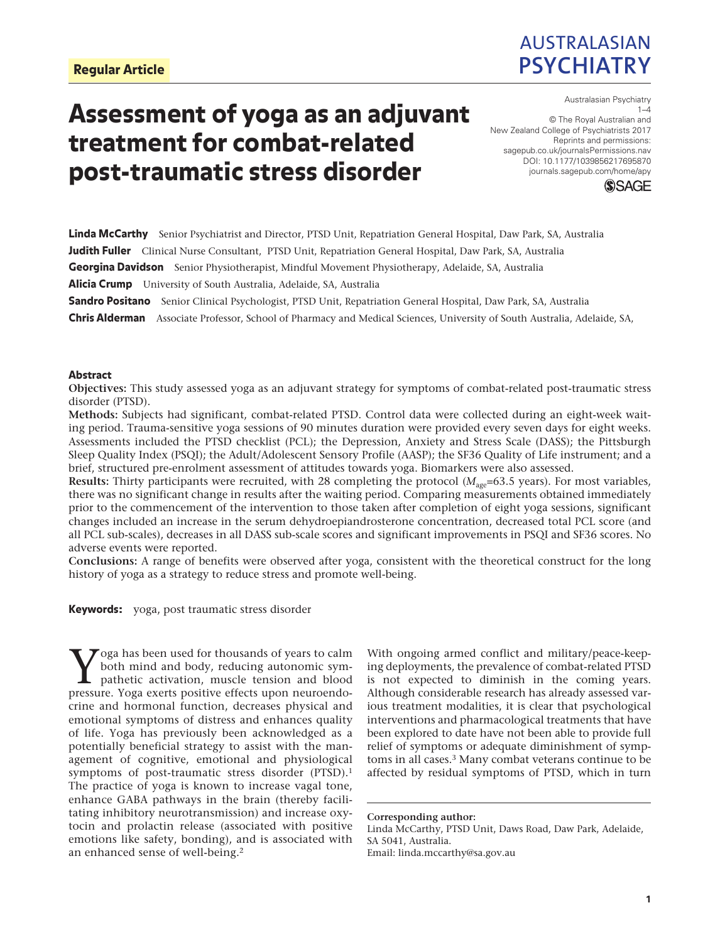

# Assessment of yoga as an adjuvant treatment for combat-related post-traumatic stress disorder

https://doi.org/10.1177/1039856217695870 DOI: 10.1177/1039856217695870 Australasian Psychiatry  $1 - 4$ © The Royal Australian and New Zealand College of Psychiatrists 2017 Reprints and permissions: [sagepub.co.uk/journalsPermissions.nav](https://uk.sagepub.com/en-gb/journals-permissions) [journals.sagepub.com/home/apy](https://journals.sagepub.com/home/apy)



Linda McCarthy Senior Psychiatrist and Director, PTSD Unit, Repatriation General Hospital, Daw Park, SA, Australia Judith Fuller Clinical Nurse Consultant, PTSD Unit, Repatriation General Hospital, Daw Park, SA, Australia Georgina Davidson Senior Physiotherapist, Mindful Movement Physiotherapy, Adelaide, SA, Australia Alicia Crump University of South Australia, Adelaide, SA, Australia

**Sandro Positano** Senior Clinical Psychologist, PTSD Unit, Repatriation General Hospital, Daw Park, SA, Australia

Chris Alderman Associate Professor, School of Pharmacy and Medical Sciences, University of South Australia, Adelaide, SA,

#### Abstract

**Objectives:** This study assessed yoga as an adjuvant strategy for symptoms of combat-related post-traumatic stress disorder (PTSD).

**Methods:** Subjects had significant, combat-related PTSD. Control data were collected during an eight-week waiting period. Trauma-sensitive yoga sessions of 90 minutes duration were provided every seven days for eight weeks. Assessments included the PTSD checklist (PCL); the Depression, Anxiety and Stress Scale (DASS); the Pittsburgh Sleep Quality Index (PSQI); the Adult/Adolescent Sensory Profile (AASP); the SF36 Quality of Life instrument; and a brief, structured pre-enrolment assessment of attitudes towards yoga. Biomarkers were also assessed.

**Results:** Thirty participants were recruited, with 28 completing the protocol  $(M_{\text{age}}=63.5 \text{ years})$ . For most variables, there was no significant change in results after the waiting period. Comparing measurements obtained immediately prior to the commencement of the intervention to those taken after completion of eight yoga sessions, significant changes included an increase in the serum dehydroepiandrosterone concentration, decreased total PCL score (and all PCL sub-scales), decreases in all DASS sub-scale scores and significant improvements in PSQI and SF36 scores. No adverse events were reported.

**Conclusions:** A range of benefits were observed after yoga, consistent with the theoretical construct for the long history of yoga as a strategy to reduce stress and promote well-being.

Keywords: yoga, post traumatic stress disorder

Yoga has been used for thousands of years to calm<br>both mind and body, reducing autonomic sympathetic activation, muscle tension and blood<br>pressure Yoga exerts positive effects upon peuroendo both mind and body, reducing autonomic sympathetic activation, muscle tension and blood pressure. Yoga exerts positive effects upon neuroendocrine and hormonal function, decreases physical and emotional symptoms of distress and enhances quality of life. Yoga has previously been acknowledged as a potentially beneficial strategy to assist with the management of cognitive, emotional and physiological symptoms of post-traumatic stress disorder (PTSD).1 The practice of yoga is known to increase vagal tone, enhance GABA pathways in the brain (thereby facilitating inhibitory neurotransmission) and increase oxytocin and prolactin release (associated with positive emotions like safety, bonding), and is associated with an enhanced sense of well-being.2

With ongoing armed conflict and military/peace-keeping deployments, the prevalence of combat-related PTSD is not expected to diminish in the coming years. Although considerable research has already assessed various treatment modalities, it is clear that psychological interventions and pharmacological treatments that have been explored to date have not been able to provide full relief of symptoms or adequate diminishment of symptoms in all cases.3 Many combat veterans continue to be affected by residual symptoms of PTSD, which in turn

Linda McCarthy, PTSD Unit, Daws Road, Daw Park, Adelaide, SA 5041, Australia. Email: linda.mccarthy@sa.gov.au

**Corresponding author:**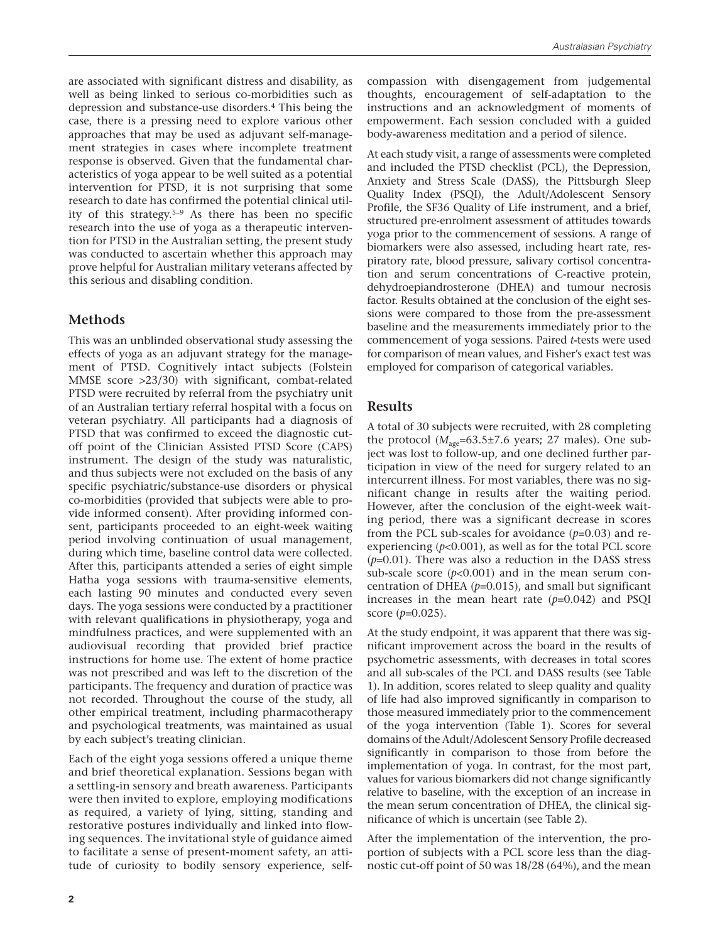are associated with significant distress and disability, as well as being linked to serious co-morbidities such as depression and substance-use disorders.4 This being the case, there is a pressing need to explore various other approaches that may be used as adjuvant self-management strategies in cases where incomplete treatment response is observed. Given that the fundamental characteristics of yoga appear to be well suited as a potential intervention for PTSD, it is not surprising that some research to date has confirmed the potential clinical utility of this strategy.5–9 As there has been no specific research into the use of yoga as a therapeutic intervention for PTSD in the Australian setting, the present study was conducted to ascertain whether this approach may prove helpful for Australian military veterans affected by this serious and disabling condition.

## **Methods**

This was an unblinded observational study assessing the effects of yoga as an adjuvant strategy for the management of PTSD. Cognitively intact subjects (Folstein MMSE score >23/30) with significant, combat-related PTSD were recruited by referral from the psychiatry unit of an Australian tertiary referral hospital with a focus on veteran psychiatry. All participants had a diagnosis of PTSD that was confirmed to exceed the diagnostic cutoff point of the Clinician Assisted PTSD Score (CAPS) instrument. The design of the study was naturalistic, and thus subjects were not excluded on the basis of any specific psychiatric/substance-use disorders or physical co-morbidities (provided that subjects were able to provide informed consent). After providing informed consent, participants proceeded to an eight-week waiting period involving continuation of usual management, during which time, baseline control data were collected. After this, participants attended a series of eight simple Hatha yoga sessions with trauma-sensitive elements, each lasting 90 minutes and conducted every seven days. The yoga sessions were conducted by a practitioner with relevant qualifications in physiotherapy, yoga and mindfulness practices, and were supplemented with an audiovisual recording that provided brief practice instructions for home use. The extent of home practice was not prescribed and was left to the discretion of the participants. The frequency and duration of practice was not recorded. Throughout the course of the study, all other empirical treatment, including pharmacotherapy and psychological treatments, was maintained as usual by each subject's treating clinician.

Each of the eight yoga sessions offered a unique theme and brief theoretical explanation. Sessions began with a settling-in sensory and breath awareness. Participants were then invited to explore, employing modifications as required, a variety of lying, sitting, standing and restorative postures individually and linked into flowing sequences. The invitational style of guidance aimed to facilitate a sense of present-moment safety, an attitude of curiosity to bodily sensory experience, selfcompassion with disengagement from judgemental thoughts, encouragement of self-adaptation to the instructions and an acknowledgment of moments of empowerment. Each session concluded with a guided body-awareness meditation and a period of silence.

At each study visit, a range of assessments were completed and included the PTSD checklist (PCL), the Depression, Anxiety and Stress Scale (DASS), the Pittsburgh Sleep Quality Index (PSQI), the Adult/Adolescent Sensory Profile, the SF36 Quality of Life instrument, and a brief, structured pre-enrolment assessment of attitudes towards yoga prior to the commencement of sessions. A range of biomarkers were also assessed, including heart rate, respiratory rate, blood pressure, salivary cortisol concentration and serum concentrations of C-reactive protein, dehydroepiandrosterone (DHEA) and tumour necrosis factor. Results obtained at the conclusion of the eight sessions were compared to those from the pre-assessment baseline and the measurements immediately prior to the commencement of yoga sessions. Paired *t*-tests were used for comparison of mean values, and Fisher's exact test was employed for comparison of categorical variables.

## **Results**

A total of 30 subjects were recruited, with 28 completing the protocol ( $M_{\text{age}}$ =63.5±7.6 years; 27 males). One subject was lost to follow-up, and one declined further participation in view of the need for surgery related to an intercurrent illness. For most variables, there was no significant change in results after the waiting period. However, after the conclusion of the eight-week waiting period, there was a significant decrease in scores from the PCL sub-scales for avoidance (*p*=0.03) and reexperiencing (*p*<0.001), as well as for the total PCL score (*p*=0.01). There was also a reduction in the DASS stress sub-scale score  $(p<0.001)$  and in the mean serum concentration of DHEA  $(p=0.015)$ , and small but significant increases in the mean heart rate  $(p=0.042)$  and PSQI score (*p*=0.025).

At the study endpoint, it was apparent that there was significant improvement across the board in the results of psychometric assessments, with decreases in total scores and all sub-scales of the PCL and DASS results (see Table 1). In addition, scores related to sleep quality and quality of life had also improved significantly in comparison to those measured immediately prior to the commencement of the yoga intervention (Table 1). Scores for several domains of the Adult/Adolescent Sensory Profile decreased significantly in comparison to those from before the implementation of yoga. In contrast, for the most part, values for various biomarkers did not change significantly relative to baseline, with the exception of an increase in the mean serum concentration of DHEA, the clinical significance of which is uncertain (see Table 2).

After the implementation of the intervention, the proportion of subjects with a PCL score less than the diagnostic cut-off point of 50 was 18/28 (64%), and the mean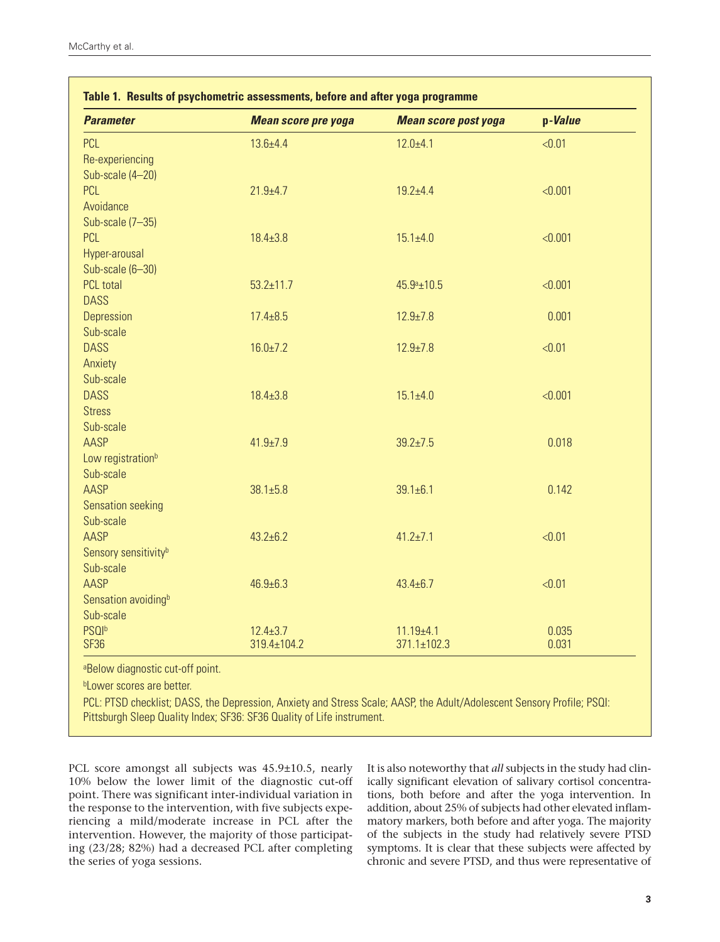| <b>Parameter</b>                 | <b>Mean score pre yoga</b> | <b>Mean score post yoga</b> | p-Value |
|----------------------------------|----------------------------|-----------------------------|---------|
| <b>PCL</b>                       | $13.6 + 4.4$               | $12.0 + 4.1$                | < 0.01  |
| Re-experiencing                  |                            |                             |         |
| Sub-scale (4-20)                 |                            |                             |         |
| <b>PCL</b>                       | $21.9 + 4.7$               | $19.2 + 4.4$                | < 0.001 |
| Avoidance                        |                            |                             |         |
| Sub-scale (7-35)                 |                            |                             |         |
| <b>PCL</b>                       | $18.4 \pm 3.8$             | $15.1 \pm 4.0$              | < 0.001 |
| Hyper-arousal                    |                            |                             |         |
| Sub-scale (6-30)                 |                            |                             |         |
| <b>PCL</b> total                 | $53.2 \pm 11.7$            | $45.9a_{\pm}10.5$           | < 0.001 |
| <b>DASS</b>                      |                            |                             |         |
| Depression                       | $17.4 \pm 8.5$             | $12.9 \pm 7.8$              | 0.001   |
| Sub-scale                        |                            |                             |         |
| <b>DASS</b>                      | $16.0 \pm 7.2$             | $12.9 \pm 7.8$              | < 0.01  |
| Anxiety                          |                            |                             |         |
| Sub-scale                        |                            |                             |         |
| <b>DASS</b>                      | $18.4 \pm 3.8$             | $15.1 \pm 4.0$              | < 0.001 |
| <b>Stress</b>                    |                            |                             |         |
| Sub-scale                        |                            |                             |         |
| <b>AASP</b>                      | $41.9 \pm 7.9$             | $39.2 + 7.5$                | 0.018   |
| Low registration <sup>b</sup>    |                            |                             |         |
| Sub-scale                        |                            |                             |         |
| AASP                             | $38.1 \pm 5.8$             | $39.1 \pm 6.1$              | 0.142   |
| Sensation seeking                |                            |                             |         |
| Sub-scale                        |                            |                             |         |
| <b>AASP</b>                      | $43.2 + 6.2$               | $41.2 + 7.1$                | < 0.01  |
| Sensory sensitivity <sup>b</sup> |                            |                             |         |
| Sub-scale                        |                            |                             |         |
| <b>AASP</b>                      | $46.9 \pm 6.3$             | $43.4 \pm 6.7$              | < 0.01  |
| Sensation avoiding <sup>b</sup>  |                            |                             |         |
| Sub-scale                        |                            |                             |         |
| <b>PSQIb</b>                     | $12.4 \pm 3.7$             | $11.19 + 4.1$               | 0.035   |
| <b>SF36</b>                      | 319.4±104.2                | $371.1 \pm 102.3$           | 0.031   |

aBelow diagnostic cut-off point.

**bLower scores are better.** 

PCL: PTSD checklist; DASS, the Depression, Anxiety and Stress Scale; AASP, the Adult/Adolescent Sensory Profile; PSQI: Pittsburgh Sleep Quality Index; SF36: SF36 Quality of Life instrument.

PCL score amongst all subjects was 45.9±10.5, nearly 10% below the lower limit of the diagnostic cut-off point. There was significant inter-individual variation in the response to the intervention, with five subjects experiencing a mild/moderate increase in PCL after the intervention. However, the majority of those participating (23/28; 82%) had a decreased PCL after completing the series of yoga sessions.

It is also noteworthy that *all* subjects in the study had clinically significant elevation of salivary cortisol concentrations, both before and after the yoga intervention. In addition, about 25% of subjects had other elevated inflammatory markers, both before and after yoga. The majority of the subjects in the study had relatively severe PTSD symptoms. It is clear that these subjects were affected by chronic and severe PTSD, and thus were representative of